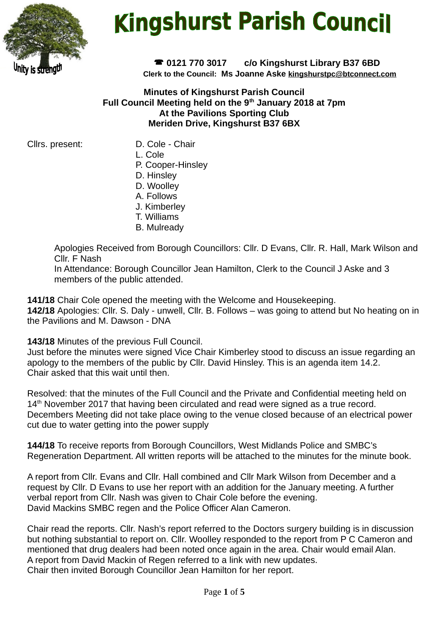

# **Kingshurst Parish Council**

 **0121 770 3017 c/o Kingshurst Library B37 6BD Clerk to the Council: Ms Joanne Aske [kingshurstpc@btconnect.com](mailto:kingshurstpc@btconnect.com)**

**Minutes of Kingshurst Parish Council Full Council Meeting held on the 9th January 2018 at 7pm At the Pavilions Sporting Club Meriden Drive, Kingshurst B37 6BX**

Cllrs. present: D. Cole - Chair

- 
- L. Cole
- P. Cooper-Hinsley
- D. Hinsley
- D. Woolley
- A. Follows
- J. Kimberley
- T. Williams
- B. Mulready

Apologies Received from Borough Councillors: Cllr. D Evans, Cllr. R. Hall, Mark Wilson and Cllr. F Nash

In Attendance: Borough Councillor Jean Hamilton, Clerk to the Council J Aske and 3 members of the public attended.

**141/18** Chair Cole opened the meeting with the Welcome and Housekeeping.

**142/18** Apologies: Cllr. S. Daly - unwell, Cllr. B. Follows – was going to attend but No heating on in the Pavilions and M. Dawson - DNA

**143/18** Minutes of the previous Full Council.

Just before the minutes were signed Vice Chair Kimberley stood to discuss an issue regarding an apology to the members of the public by Cllr. David Hinsley. This is an agenda item 14.2. Chair asked that this wait until then.

Resolved: that the minutes of the Full Council and the Private and Confidential meeting held on 14<sup>th</sup> November 2017 that having been circulated and read were signed as a true record. Decembers Meeting did not take place owing to the venue closed because of an electrical power cut due to water getting into the power supply

**144/18** To receive reports from Borough Councillors, West Midlands Police and SMBC's Regeneration Department. All written reports will be attached to the minutes for the minute book.

A report from Cllr. Evans and Cllr. Hall combined and Cllr Mark Wilson from December and a request by Cllr. D Evans to use her report with an addition for the January meeting. A further verbal report from Cllr. Nash was given to Chair Cole before the evening. David Mackins SMBC regen and the Police Officer Alan Cameron.

Chair read the reports. Cllr. Nash's report referred to the Doctors surgery building is in discussion but nothing substantial to report on. Cllr. Woolley responded to the report from P C Cameron and mentioned that drug dealers had been noted once again in the area. Chair would email Alan. A report from David Mackin of Regen referred to a link with new updates. Chair then invited Borough Councillor Jean Hamilton for her report.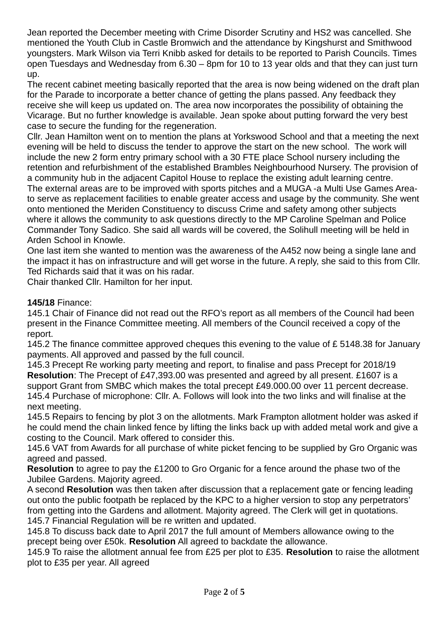Jean reported the December meeting with Crime Disorder Scrutiny and HS2 was cancelled. She mentioned the Youth Club in Castle Bromwich and the attendance by Kingshurst and Smithwood youngsters. Mark Wilson via Terri Knibb asked for details to be reported to Parish Councils. Times open Tuesdays and Wednesday from 6.30 – 8pm for 10 to 13 year olds and that they can just turn up.

The recent cabinet meeting basically reported that the area is now being widened on the draft plan for the Parade to incorporate a better chance of getting the plans passed. Any feedback they receive she will keep us updated on. The area now incorporates the possibility of obtaining the Vicarage. But no further knowledge is available. Jean spoke about putting forward the very best case to secure the funding for the regeneration.

Cllr. Jean Hamilton went on to mention the plans at Yorkswood School and that a meeting the next evening will be held to discuss the tender to approve the start on the new school. The work will include the new 2 form entry primary school with a 30 FTE place School nursery including the retention and refurbishment of the established Brambles Neighbourhood Nursery. The provision of a community hub in the adjacent Capitol House to replace the existing adult learning centre. The external areas are to be improved with sports pitches and a MUGA -a Multi Use Games Areato serve as replacement facilities to enable greater access and usage by the community. She went onto mentioned the Meriden Constituency to discuss Crime and safety among other subjects where it allows the community to ask questions directly to the MP Caroline Spelman and Police Commander Tony Sadico. She said all wards will be covered, the Solihull meeting will be held in Arden School in Knowle.

One last item she wanted to mention was the awareness of the A452 now being a single lane and the impact it has on infrastructure and will get worse in the future. A reply, she said to this from Cllr. Ted Richards said that it was on his radar.

Chair thanked Cllr. Hamilton for her input.

#### **145/18** Finance:

145.1 Chair of Finance did not read out the RFO's report as all members of the Council had been present in the Finance Committee meeting. All members of the Council received a copy of the report.

145.2 The finance committee approved cheques this evening to the value of £ 5148.38 for January payments. All approved and passed by the full council.

145.3 Precept Re working party meeting and report, to finalise and pass Precept for 2018/19 **Resolution**: The Precept of £47,393.00 was presented and agreed by all present. £1607 is a support Grant from SMBC which makes the total precept £49.000.00 over 11 percent decrease. 145.4 Purchase of microphone: Cllr. A. Follows will look into the two links and will finalise at the next meeting.

145.5 Repairs to fencing by plot 3 on the allotments. Mark Frampton allotment holder was asked if he could mend the chain linked fence by lifting the links back up with added metal work and give a costing to the Council. Mark offered to consider this.

145.6 VAT from Awards for all purchase of white picket fencing to be supplied by Gro Organic was agreed and passed.

**Resolution** to agree to pay the £1200 to Gro Organic for a fence around the phase two of the Jubilee Gardens. Majority agreed.

A second **Resolution** was then taken after discussion that a replacement gate or fencing leading out onto the public footpath be replaced by the KPC to a higher version to stop any perpetrators' from getting into the Gardens and allotment. Majority agreed. The Clerk will get in quotations. 145.7 Financial Regulation will be re written and updated.

145.8 To discuss back date to April 2017 the full amount of Members allowance owing to the precept being over £50k. **Resolution** All agreed to backdate the allowance.

145.9 To raise the allotment annual fee from £25 per plot to £35. **Resolution** to raise the allotment plot to £35 per year. All agreed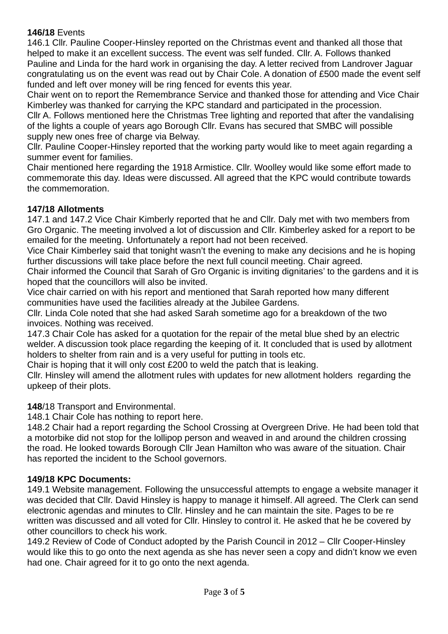### **146/18** Events

146.1 Cllr. Pauline Cooper-Hinsley reported on the Christmas event and thanked all those that helped to make it an excellent success. The event was self funded. Cllr. A. Follows thanked Pauline and Linda for the hard work in organising the day. A letter recived from Landrover Jaguar congratulating us on the event was read out by Chair Cole. A donation of £500 made the event self funded and left over money will be ring fenced for events this year.

Chair went on to report the Remembrance Service and thanked those for attending and Vice Chair Kimberley was thanked for carrying the KPC standard and participated in the procession.

Cllr A. Follows mentioned here the Christmas Tree lighting and reported that after the vandalising of the lights a couple of years ago Borough Cllr. Evans has secured that SMBC will possible supply new ones free of charge via Belway.

Cllr. Pauline Cooper-Hinsley reported that the working party would like to meet again regarding a summer event for families.

Chair mentioned here regarding the 1918 Armistice. Cllr. Woolley would like some effort made to commemorate this day. Ideas were discussed. All agreed that the KPC would contribute towards the commemoration.

## **147/18 Allotments**

147.1 and 147.2 Vice Chair Kimberly reported that he and Cllr. Daly met with two members from Gro Organic. The meeting involved a lot of discussion and Cllr. Kimberley asked for a report to be emailed for the meeting. Unfortunately a report had not been received.

Vice Chair Kimberley said that tonight wasn't the evening to make any decisions and he is hoping further discussions will take place before the next full council meeting. Chair agreed.

Chair informed the Council that Sarah of Gro Organic is inviting dignitaries' to the gardens and it is hoped that the councillors will also be invited.

Vice chair carried on with his report and mentioned that Sarah reported how many different communities have used the facilities already at the Jubilee Gardens.

Cllr. Linda Cole noted that she had asked Sarah sometime ago for a breakdown of the two invoices. Nothing was received.

147.3 Chair Cole has asked for a quotation for the repair of the metal blue shed by an electric welder. A discussion took place regarding the keeping of it. It concluded that is used by allotment holders to shelter from rain and is a very useful for putting in tools etc.

Chair is hoping that it will only cost £200 to weld the patch that is leaking.

Cllr. Hinsley will amend the allotment rules with updates for new allotment holders regarding the upkeep of their plots.

# **148**/18 Transport and Environmental.

148.1 Chair Cole has nothing to report here.

148.2 Chair had a report regarding the School Crossing at Overgreen Drive. He had been told that a motorbike did not stop for the lollipop person and weaved in and around the children crossing the road. He looked towards Borough Cllr Jean Hamilton who was aware of the situation. Chair has reported the incident to the School governors.

#### **149/18 KPC Documents:**

149.1 Website management. Following the unsuccessful attempts to engage a website manager it was decided that Cllr. David Hinsley is happy to manage it himself. All agreed. The Clerk can send electronic agendas and minutes to Cllr. Hinsley and he can maintain the site. Pages to be re written was discussed and all voted for Cllr. Hinsley to control it. He asked that he be covered by other councillors to check his work.

149.2 Review of Code of Conduct adopted by the Parish Council in 2012 – Cllr Cooper-Hinsley would like this to go onto the next agenda as she has never seen a copy and didn't know we even had one. Chair agreed for it to go onto the next agenda.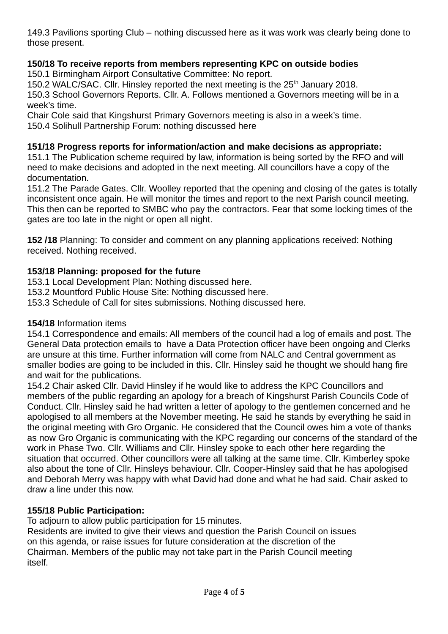149.3 Pavilions sporting Club – nothing discussed here as it was work was clearly being done to those present.

# **150/18 To receive reports from members representing KPC on outside bodies**

150.1 Birmingham Airport Consultative Committee: No report.

150.2 WALC/SAC. Cllr. Hinsley reported the next meeting is the  $25<sup>th</sup>$  January 2018.

150.3 School Governors Reports. Cllr. A. Follows mentioned a Governors meeting will be in a week's time.

Chair Cole said that Kingshurst Primary Governors meeting is also in a week's time.

150.4 Solihull Partnership Forum: nothing discussed here

# **151/18 Progress reports for information/action and make decisions as appropriate:**

151.1 The Publication scheme required by law, information is being sorted by the RFO and will need to make decisions and adopted in the next meeting. All councillors have a copy of the documentation.

151.2 The Parade Gates. Cllr. Woolley reported that the opening and closing of the gates is totally inconsistent once again. He will monitor the times and report to the next Parish council meeting. This then can be reported to SMBC who pay the contractors. Fear that some locking times of the gates are too late in the night or open all night.

**152 /18** Planning: To consider and comment on any planning applications received: Nothing received. Nothing received.

# **153/18 Planning: proposed for the future**

153.1 Local Development Plan: Nothing discussed here.

153.2 Mountford Public House Site: Nothing discussed here.

153.3 Schedule of Call for sites submissions. Nothing discussed here.

# **154/18** Information items

154.1 Correspondence and emails: All members of the council had a log of emails and post. The General Data protection emails to have a Data Protection officer have been ongoing and Clerks are unsure at this time. Further information will come from NALC and Central government as smaller bodies are going to be included in this. Cllr. Hinsley said he thought we should hang fire and wait for the publications.

154.2 Chair asked Cllr. David Hinsley if he would like to address the KPC Councillors and members of the public regarding an apology for a breach of Kingshurst Parish Councils Code of Conduct. Cllr. Hinsley said he had written a letter of apology to the gentlemen concerned and he apologised to all members at the November meeting. He said he stands by everything he said in the original meeting with Gro Organic. He considered that the Council owes him a vote of thanks as now Gro Organic is communicating with the KPC regarding our concerns of the standard of the work in Phase Two. Cllr. Williams and Cllr. Hinsley spoke to each other here regarding the situation that occurred. Other councillors were all talking at the same time. Cllr. Kimberley spoke also about the tone of Cllr. Hinsleys behaviour. Cllr. Cooper-Hinsley said that he has apologised and Deborah Merry was happy with what David had done and what he had said. Chair asked to draw a line under this now.

# **155/18 Public Participation:**

To adjourn to allow public participation for 15 minutes.

Residents are invited to give their views and question the Parish Council on issues on this agenda, or raise issues for future consideration at the discretion of the Chairman. Members of the public may not take part in the Parish Council meeting itself.